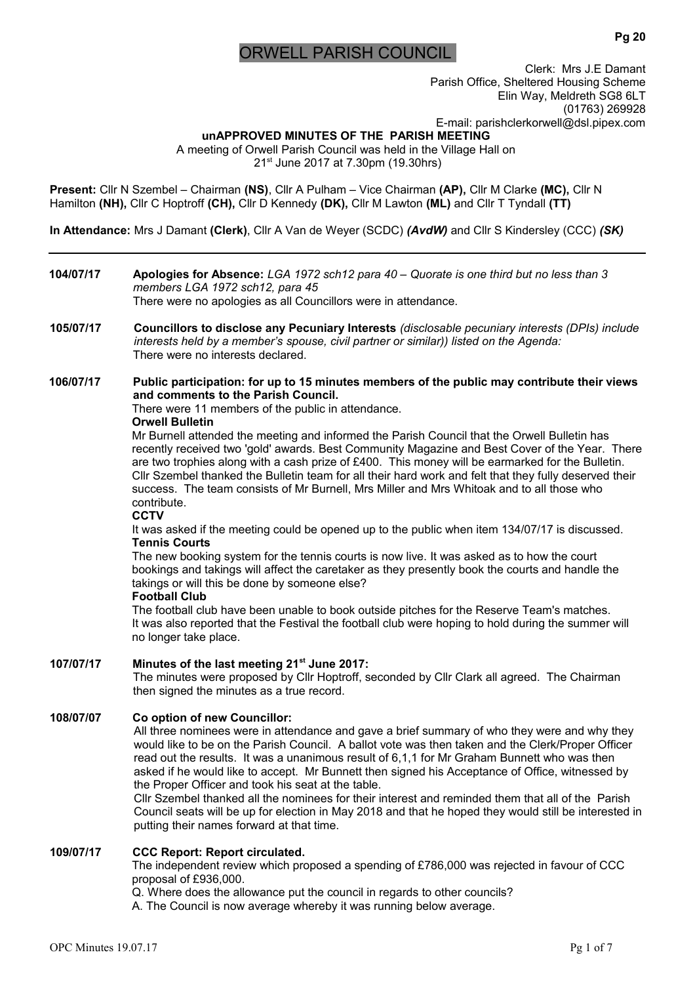# ORWELL PARISH COUNCIL

**Pg 20**

Clerk: Mrs J.E Damant Parish Office, Sheltered Housing Scheme Elin Way, Meldreth SG8 6LT (01763) 269928 E-mail: parishclerkorwell@dsl.pipex.com

**unAPPROVED MINUTES OF THE PARISH MEETING**  A meeting of Orwell Parish Council was held in the Village Hall on 21<sup>st</sup> June 2017 at 7.30pm (19.30hrs)

**Present:** Cllr N Szembel – Chairman **(NS)**, Cllr A Pulham – Vice Chairman **(AP),** Cllr M Clarke **(MC),** Cllr N Hamilton **(NH),** Cllr C Hoptroff **(CH),** Cllr D Kennedy **(DK),** Cllr M Lawton **(ML)** and Cllr T Tyndall **(TT)**

**In Attendance:** Mrs J Damant **(Clerk)**, Cllr A Van de Weyer (SCDC) *(AvdW)* and Cllr S Kindersley (CCC) *(SK)*

# **104/07/17 Apologies for Absence:** *LGA 1972 sch12 para 40 – Quorate is one third but no less than 3 members LGA 1972 sch12, para 45* There were no apologies as all Councillors were in attendance. **105/07/17 Councillors to disclose any Pecuniary Interests** *(disclosable pecuniary interests (DPIs) include interests held by a member's spouse, civil partner or similar)) listed on the Agenda:* There were no interests declared. **106/07/17 Public participation: for up to 15 minutes members of the public may contribute their views and comments to the Parish Council.** There were 11 members of the public in attendance. **Orwell Bulletin** Mr Burnell attended the meeting and informed the Parish Council that the Orwell Bulletin has recently received two 'gold' awards. Best Community Magazine and Best Cover of the Year. There are two trophies along with a cash prize of £400. This money will be earmarked for the Bulletin. Cllr Szembel thanked the Bulletin team for all their hard work and felt that they fully deserved their success. The team consists of Mr Burnell, Mrs Miller and Mrs Whitoak and to all those who contribute. **CCTV** It was asked if the meeting could be opened up to the public when item 134/07/17 is discussed. **Tennis Courts** The new booking system for the tennis courts is now live. It was asked as to how the court bookings and takings will affect the caretaker as they presently book the courts and handle the takings or will this be done by someone else? **Football Club** The football club have been unable to book outside pitches for the Reserve Team's matches. It was also reported that the Festival the football club were hoping to hold during the summer will no longer take place. **107/07/17 Minutes of the last meeting 21st June 2017:**  The minutes were proposed by Cllr Hoptroff, seconded by Cllr Clark all agreed. The Chairman then signed the minutes as a true record. **108/07/07 Co option of new Councillor:** All three nominees were in attendance and gave a brief summary of who they were and why they would like to be on the Parish Council. A ballot vote was then taken and the Clerk/Proper Officer read out the results. It was a unanimous result of 6,1,1 for Mr Graham Bunnett who was then asked if he would like to accept. Mr Bunnett then signed his Acceptance of Office, witnessed by the Proper Officer and took his seat at the table. Cllr Szembel thanked all the nominees for their interest and reminded them that all of the Parish Council seats will be up for election in May 2018 and that he hoped they would still be interested in putting their names forward at that time. **109/07/17 CCC Report: Report circulated.** The independent review which proposed a spending of £786,000 was rejected in favour of CCC proposal of £936,000. Q. Where does the allowance put the council in regards to other councils? A. The Council is now average whereby it was running below average.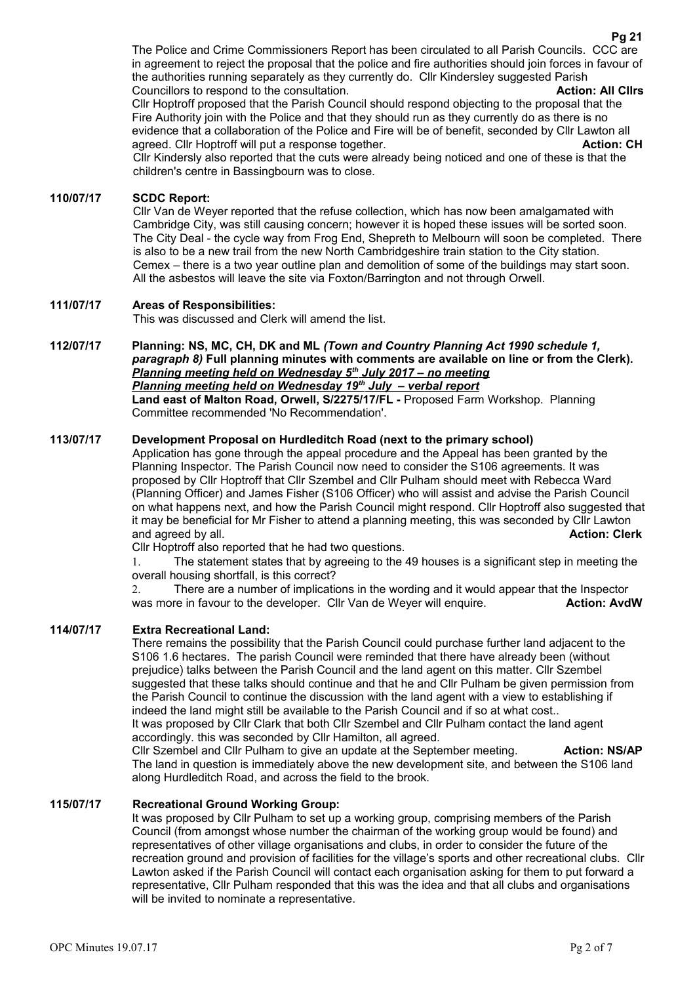The Police and Crime Commissioners Report has been circulated to all Parish Councils. CCC are in agreement to reject the proposal that the police and fire authorities should join forces in favour of the authorities running separately as they currently do. Cllr Kindersley suggested Parish Councillors to respond to the consultation. **Action: All Cllrs** Cllr Hoptroff proposed that the Parish Council should respond objecting to the proposal that the Fire Authority join with the Police and that they should run as they currently do as there is no

evidence that a collaboration of the Police and Fire will be of benefit, seconded by Cllr Lawton all agreed. Cllr Hoptroff will put a response together. **Action: CH**

Cllr Kindersly also reported that the cuts were already being noticed and one of these is that the children's centre in Bassingbourn was to close.

# **110/07/17 SCDC Report:**

Cllr Van de Weyer reported that the refuse collection, which has now been amalgamated with Cambridge City, was still causing concern; however it is hoped these issues will be sorted soon. The City Deal - the cycle way from Frog End, Shepreth to Melbourn will soon be completed. There is also to be a new trail from the new North Cambridgeshire train station to the City station. Cemex – there is a two year outline plan and demolition of some of the buildings may start soon. All the asbestos will leave the site via Foxton/Barrington and not through Orwell.

### **111/07/17 Areas of Responsibilities:**

This was discussed and Clerk will amend the list.

**112/07/17 Planning: NS, MC, CH, DK and ML** *(Town and Country Planning Act 1990 schedule 1, paragraph 8)* **Full planning minutes with comments are available on line or from the Clerk).**   *Planning meeting held on Wednesday 5th July 2017 – no meeting Planning meeting held on Wednesday 19th July – verbal report* **Land east of Malton Road, Orwell, S/2275/17/FL -** Proposed Farm Workshop. Planning Committee recommended 'No Recommendation'.

## **113/07/17 Development Proposal on Hurdleditch Road (next to the primary school)**

Application has gone through the appeal procedure and the Appeal has been granted by the Planning Inspector. The Parish Council now need to consider the S106 agreements. It was proposed by Cllr Hoptroff that Cllr Szembel and Cllr Pulham should meet with Rebecca Ward (Planning Officer) and James Fisher (S106 Officer) who will assist and advise the Parish Council on what happens next, and how the Parish Council might respond. Cllr Hoptroff also suggested that it may be beneficial for Mr Fisher to attend a planning meeting, this was seconded by Cllr Lawton and agreed by all. **Action: Clerk Action: Clerk Action: Clerk Action: Clerk** 

Cllr Hoptroff also reported that he had two questions.

1. The statement states that by agreeing to the 49 houses is a significant step in meeting the overall housing shortfall, is this correct?

2. There are a number of implications in the wording and it would appear that the Inspector was more in favour to the developer. Cllr Van de Weyer will enquire. **Action: AvdW** 

#### **114/07/17 Extra Recreational Land:**

There remains the possibility that the Parish Council could purchase further land adjacent to the S106 1.6 hectares. The parish Council were reminded that there have already been (without prejudice) talks between the Parish Council and the land agent on this matter. Cllr Szembel suggested that these talks should continue and that he and Cllr Pulham be given permission from the Parish Council to continue the discussion with the land agent with a view to establishing if indeed the land might still be available to the Parish Council and if so at what cost.. It was proposed by Cllr Clark that both Cllr Szembel and Cllr Pulham contact the land agent accordingly. this was seconded by Cllr Hamilton, all agreed.

Cllr Szembel and Cllr Pulham to give an update at the September meeting. **Action: NS/AP** The land in question is immediately above the new development site, and between the S106 land along Hurdleditch Road, and across the field to the brook.

# **115/07/17 Recreational Ground Working Group:**

It was proposed by Cllr Pulham to set up a working group, comprising members of the Parish Council (from amongst whose number the chairman of the working group would be found) and representatives of other village organisations and clubs, in order to consider the future of the recreation ground and provision of facilities for the village's sports and other recreational clubs. Cllr Lawton asked if the Parish Council will contact each organisation asking for them to put forward a representative, Cllr Pulham responded that this was the idea and that all clubs and organisations will be invited to nominate a representative.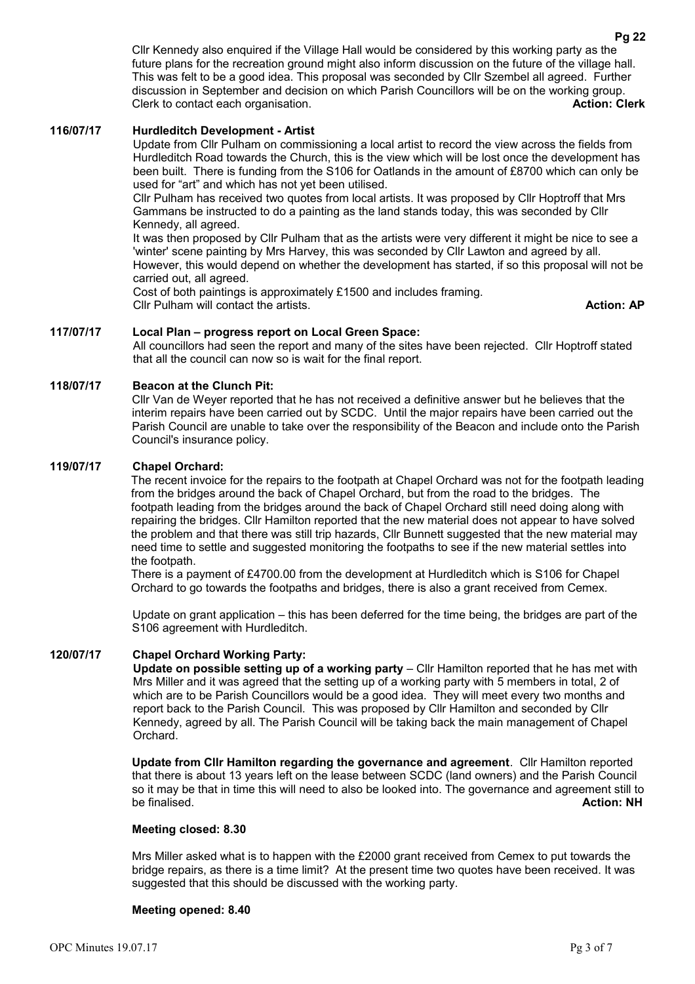Cllr Kennedy also enquired if the Village Hall would be considered by this working party as the future plans for the recreation ground might also inform discussion on the future of the village hall. This was felt to be a good idea. This proposal was seconded by Cllr Szembel all agreed. Further discussion in September and decision on which Parish Councillors will be on the working group. Clerk to contact each organisation. **Action: Clerk**

#### **116/07/17 Hurdleditch Development - Artist**

Update from Cllr Pulham on commissioning a local artist to record the view across the fields from Hurdleditch Road towards the Church, this is the view which will be lost once the development has been built. There is funding from the S106 for Oatlands in the amount of £8700 which can only be used for "art" and which has not yet been utilised.

Cllr Pulham has received two quotes from local artists. It was proposed by Cllr Hoptroff that Mrs Gammans be instructed to do a painting as the land stands today, this was seconded by Cllr Kennedy, all agreed.

It was then proposed by Cllr Pulham that as the artists were very different it might be nice to see a 'winter' scene painting by Mrs Harvey, this was seconded by Cllr Lawton and agreed by all. However, this would depend on whether the development has started, if so this proposal will not be carried out, all agreed.

Cost of both paintings is approximately £1500 and includes framing. **Cllr Pulham will contact the artists. Action: AP Action: AP Action: AP** 

# **117/07/17 Local Plan – progress report on Local Green Space:**

All councillors had seen the report and many of the sites have been rejected. Cllr Hoptroff stated that all the council can now so is wait for the final report.

### **118/07/17 Beacon at the Clunch Pit:**

Cllr Van de Weyer reported that he has not received a definitive answer but he believes that the interim repairs have been carried out by SCDC. Until the major repairs have been carried out the Parish Council are unable to take over the responsibility of the Beacon and include onto the Parish Council's insurance policy.

# **119/07/17 Chapel Orchard:**

The recent invoice for the repairs to the footpath at Chapel Orchard was not for the footpath leading from the bridges around the back of Chapel Orchard, but from the road to the bridges. The footpath leading from the bridges around the back of Chapel Orchard still need doing along with repairing the bridges. Cllr Hamilton reported that the new material does not appear to have solved the problem and that there was still trip hazards, Cllr Bunnett suggested that the new material may need time to settle and suggested monitoring the footpaths to see if the new material settles into the footpath.

There is a payment of £4700.00 from the development at Hurdleditch which is S106 for Chapel Orchard to go towards the footpaths and bridges, there is also a grant received from Cemex.

Update on grant application – this has been deferred for the time being, the bridges are part of the S106 agreement with Hurdleditch.

#### **120/07/17 Chapel Orchard Working Party:**

**Update on possible setting up of a working party** – Cllr Hamilton reported that he has met with Mrs Miller and it was agreed that the setting up of a working party with 5 members in total, 2 of which are to be Parish Councillors would be a good idea. They will meet every two months and report back to the Parish Council. This was proposed by Cllr Hamilton and seconded by Cllr Kennedy, agreed by all. The Parish Council will be taking back the main management of Chapel Orchard.

**Update from Cllr Hamilton regarding the governance and agreement**. Cllr Hamilton reported that there is about 13 years left on the lease between SCDC (land owners) and the Parish Council so it may be that in time this will need to also be looked into. The governance and agreement still to be finalised. **Action: NH**

#### **Meeting closed: 8.30**

Mrs Miller asked what is to happen with the £2000 grant received from Cemex to put towards the bridge repairs, as there is a time limit? At the present time two quotes have been received. It was suggested that this should be discussed with the working party.

#### **Meeting opened: 8.40**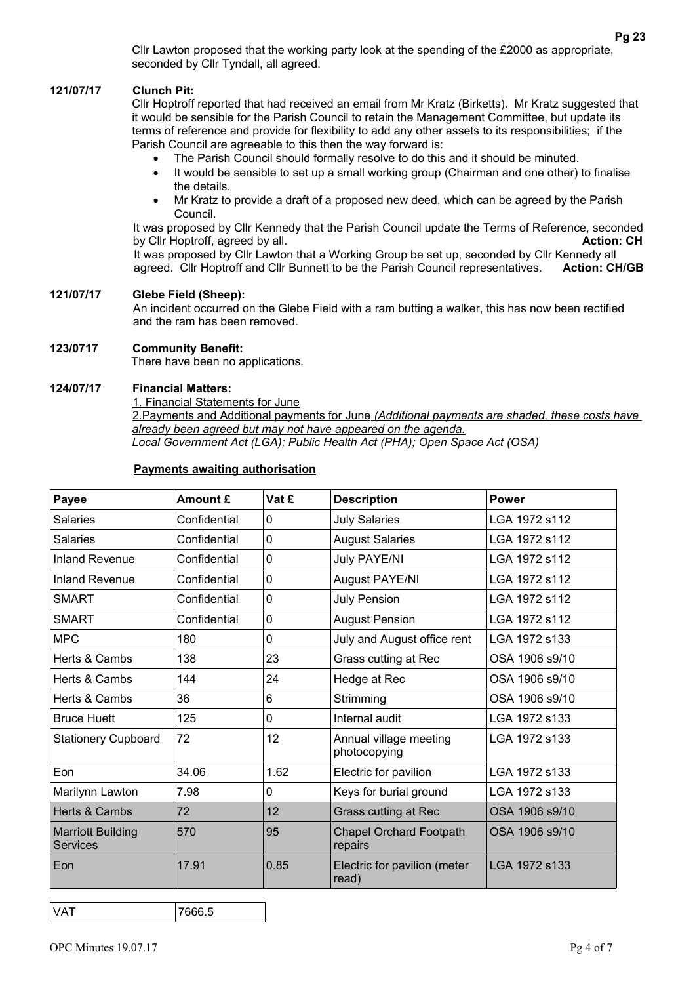Cllr Lawton proposed that the working party look at the spending of the £2000 as appropriate, seconded by Cllr Tyndall, all agreed.

# **121/07/17 Clunch Pit:**

Cllr Hoptroff reported that had received an email from Mr Kratz (Birketts). Mr Kratz suggested that it would be sensible for the Parish Council to retain the Management Committee, but update its terms of reference and provide for flexibility to add any other assets to its responsibilities; if the Parish Council are agreeable to this then the way forward is:

- The Parish Council should formally resolve to do this and it should be minuted.
- It would be sensible to set up a small working group (Chairman and one other) to finalise the details.
- Mr Kratz to provide a draft of a proposed new deed, which can be agreed by the Parish Council.

It was proposed by Cllr Kennedy that the Parish Council update the Terms of Reference, seconded by Cllr Hoptroff, agreed by all. **Action: CH Action: CH** 

It was proposed by Cllr Lawton that a Working Group be set up, seconded by Cllr Kennedy all agreed. Cllr Hoptroff and Cllr Bunnett to be the Parish Council representatives. **Action: CH/GB**

### **121/07/17 Glebe Field (Sheep):**

An incident occurred on the Glebe Field with a ram butting a walker, this has now been rectified and the ram has been removed.

### **123/0717 Community Benefit:**

There have been no applications.

### **124/07/17 Financial Matters:**

1. Financial Statements for June

 2.Payments and Additional payments for June *(Additional payments are shaded, these costs have already been agreed but may not have appeared on the agenda.*

*Local Government Act (LGA); Public Health Act (PHA); Open Space Act (OSA)*

| Payee                                       | Amount £     | Vat £           | <b>Description</b>                        | <b>Power</b>   |
|---------------------------------------------|--------------|-----------------|-------------------------------------------|----------------|
| <b>Salaries</b>                             | Confidential | 0               | <b>July Salaries</b>                      | LGA 1972 s112  |
| <b>Salaries</b>                             | Confidential | 0               | <b>August Salaries</b>                    | LGA 1972 s112  |
| <b>Inland Revenue</b>                       | Confidential | 0               | <b>July PAYE/NI</b>                       | LGA 1972 s112  |
| <b>Inland Revenue</b>                       | Confidential | 0               | <b>August PAYE/NI</b>                     | LGA 1972 s112  |
| <b>SMART</b>                                | Confidential | 0               | <b>July Pension</b>                       | LGA 1972 s112  |
| <b>SMART</b>                                | Confidential | 0               | <b>August Pension</b>                     | LGA 1972 s112  |
| <b>MPC</b>                                  | 180          | 0               | July and August office rent               | LGA 1972 s133  |
| Herts & Cambs                               | 138          | 23              | Grass cutting at Rec                      | OSA 1906 s9/10 |
| Herts & Cambs                               | 144          | 24              | Hedge at Rec                              | OSA 1906 s9/10 |
| Herts & Cambs                               | 36           | 6               | Strimming                                 | OSA 1906 s9/10 |
| <b>Bruce Huett</b>                          | 125          | 0               | Internal audit                            | LGA 1972 s133  |
| <b>Stationery Cupboard</b>                  | 72           | 12 <sub>2</sub> | Annual village meeting<br>photocopying    | LGA 1972 s133  |
| Eon                                         | 34.06        | 1.62            | Electric for pavilion                     | LGA 1972 s133  |
| Marilynn Lawton                             | 7.98         | 0               | Keys for burial ground                    | LGA 1972 s133  |
| Herts & Cambs                               | 72           | 12              | <b>Grass cutting at Rec</b>               | OSA 1906 s9/10 |
| <b>Marriott Building</b><br><b>Services</b> | 570          | 95              | <b>Chapel Orchard Footpath</b><br>repairs | OSA 1906 s9/10 |
| Eon                                         | 17.91        | 0.85            | Electric for pavilion (meter<br>read)     | LGA 1972 s133  |

# **Payments awaiting authorisation**

VAT 7666.5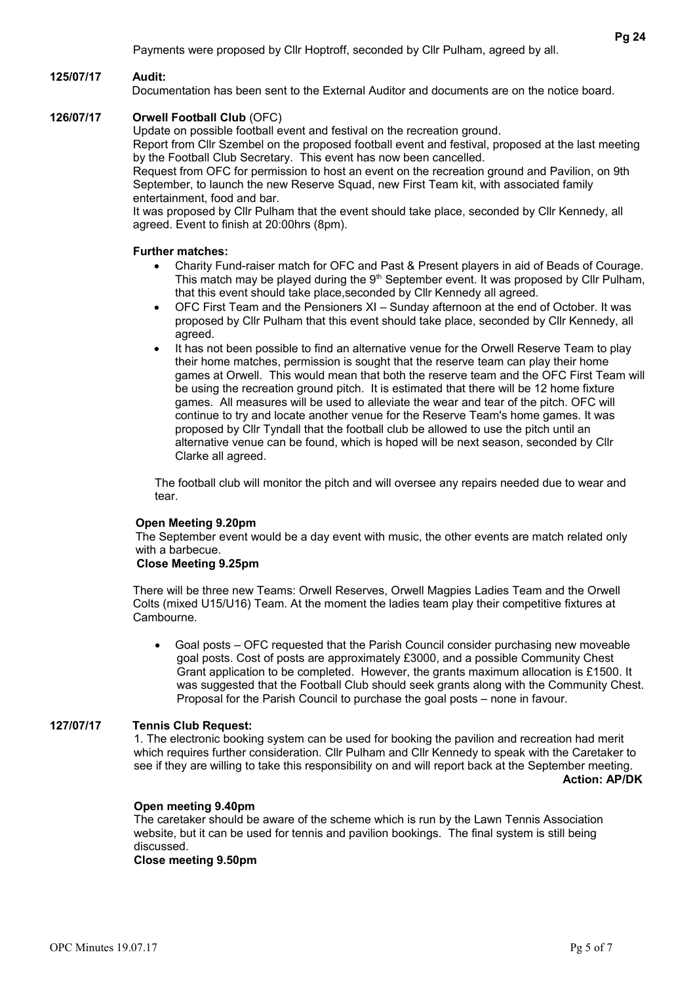#### **125/07/17 Audit:**

Documentation has been sent to the External Auditor and documents are on the notice board.

#### **126/07/17 Orwell Football Club** (OFC)

Update on possible football event and festival on the recreation ground. Report from Cllr Szembel on the proposed football event and festival, proposed at the last meeting

by the Football Club Secretary. This event has now been cancelled. Request from OFC for permission to host an event on the recreation ground and Pavilion, on 9th

September, to launch the new Reserve Squad, new First Team kit, with associated family entertainment, food and bar.

It was proposed by Cllr Pulham that the event should take place, seconded by Cllr Kennedy, all agreed. Event to finish at 20:00hrs (8pm).

#### **Further matches:**

- Charity Fund-raiser match for OFC and Past & Present players in aid of Beads of Courage. This match may be played during the  $9<sup>th</sup>$  September event. It was proposed by Cllr Pulham, that this event should take place,seconded by Cllr Kennedy all agreed.
- OFC First Team and the Pensioners XI Sunday afternoon at the end of October. It was proposed by Cllr Pulham that this event should take place, seconded by Cllr Kennedy, all agreed.
- It has not been possible to find an alternative venue for the Orwell Reserve Team to play their home matches, permission is sought that the reserve team can play their home games at Orwell. This would mean that both the reserve team and the OFC First Team will be using the recreation ground pitch. It is estimated that there will be 12 home fixture games. All measures will be used to alleviate the wear and tear of the pitch. OFC will continue to try and locate another venue for the Reserve Team's home games. It was proposed by Cllr Tyndall that the football club be allowed to use the pitch until an alternative venue can be found, which is hoped will be next season, seconded by Cllr Clarke all agreed.

The football club will monitor the pitch and will oversee any repairs needed due to wear and tear.

#### **Open Meeting 9.20pm**

The September event would be a day event with music, the other events are match related only with a barbecue.

#### **Close Meeting 9.25pm**

There will be three new Teams: Orwell Reserves, Orwell Magpies Ladies Team and the Orwell Colts (mixed U15/U16) Team. At the moment the ladies team play their competitive fixtures at Cambourne.

 Goal posts – OFC requested that the Parish Council consider purchasing new moveable goal posts. Cost of posts are approximately £3000, and a possible Community Chest Grant application to be completed. However, the grants maximum allocation is £1500. It was suggested that the Football Club should seek grants along with the Community Chest. Proposal for the Parish Council to purchase the goal posts – none in favour.

# **127/07/17 Tennis Club Request:**

1. The electronic booking system can be used for booking the pavilion and recreation had merit which requires further consideration. Cllr Pulham and Cllr Kennedy to speak with the Caretaker to see if they are willing to take this responsibility on and will report back at the September meeting. **Action: AP/DK**

#### **Open meeting 9.40pm**

The caretaker should be aware of the scheme which is run by the Lawn Tennis Association website, but it can be used for tennis and pavilion bookings. The final system is still being discussed.

# **Close meeting 9.50pm**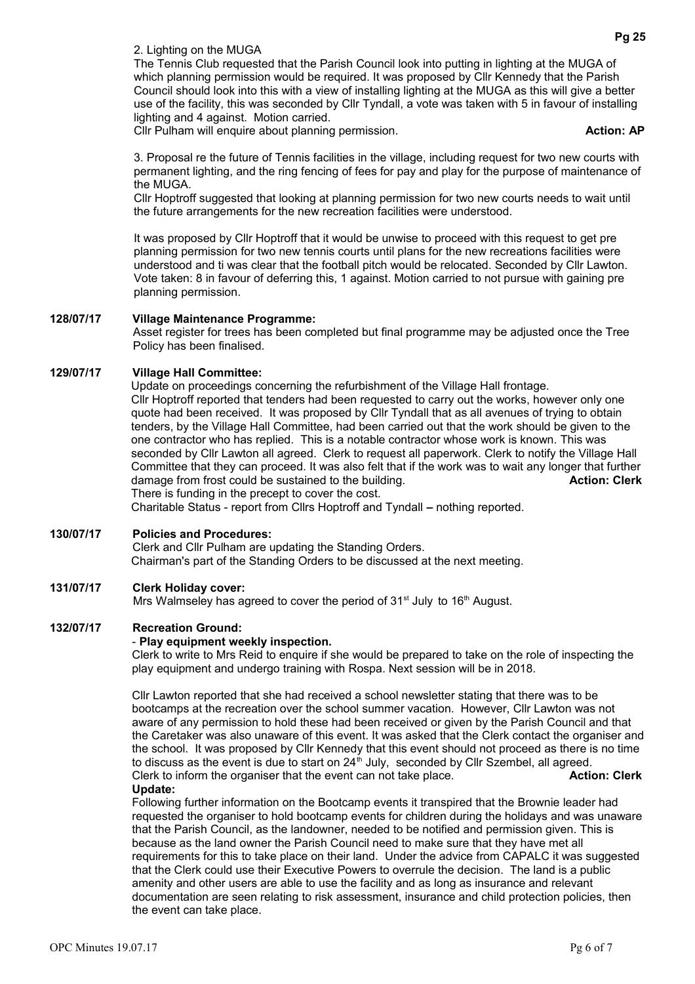2. Lighting on the MUGA

The Tennis Club requested that the Parish Council look into putting in lighting at the MUGA of which planning permission would be required. It was proposed by Cllr Kennedy that the Parish Council should look into this with a view of installing lighting at the MUGA as this will give a better use of the facility, this was seconded by Cllr Tyndall, a vote was taken with 5 in favour of installing lighting and 4 against. Motion carried.

Cllr Pulham will enquire about planning permission. **Action: AP Action: AP** 

3. Proposal re the future of Tennis facilities in the village, including request for two new courts with permanent lighting, and the ring fencing of fees for pay and play for the purpose of maintenance of the MUGA.

Cllr Hoptroff suggested that looking at planning permission for two new courts needs to wait until the future arrangements for the new recreation facilities were understood.

It was proposed by Cllr Hoptroff that it would be unwise to proceed with this request to get pre planning permission for two new tennis courts until plans for the new recreations facilities were understood and ti was clear that the football pitch would be relocated. Seconded by Cllr Lawton. Vote taken: 8 in favour of deferring this, 1 against. Motion carried to not pursue with gaining pre planning permission.

# **128/07/17 Village Maintenance Programme:**

Asset register for trees has been completed but final programme may be adjusted once the Tree Policy has been finalised.

## **129/07/17 Village Hall Committee:**

Update on proceedings concerning the refurbishment of the Village Hall frontage. Cllr Hoptroff reported that tenders had been requested to carry out the works, however only one quote had been received. It was proposed by Cllr Tyndall that as all avenues of trying to obtain tenders, by the Village Hall Committee, had been carried out that the work should be given to the one contractor who has replied. This is a notable contractor whose work is known. This was seconded by Cllr Lawton all agreed. Clerk to request all paperwork. Clerk to notify the Village Hall Committee that they can proceed. It was also felt that if the work was to wait any longer that further damage from frost could be sustained to the building. **Action: Clerk Action: Clerk** There is funding in the precept to cover the cost.

Charitable Status - report from Cllrs Hoptroff and Tyndall **–** nothing reported.

# **130/07/17 Policies and Procedures:**

Clerk and Cllr Pulham are updating the Standing Orders. Chairman's part of the Standing Orders to be discussed at the next meeting.

# **131/07/17 Clerk Holiday cover:**

Mrs Walmseley has agreed to cover the period of 31<sup>st</sup> July to 16<sup>th</sup> August.

### **132/07/17 Recreation Ground:**

#### - **Play equipment weekly inspection.**

Clerk to write to Mrs Reid to enquire if she would be prepared to take on the role of inspecting the play equipment and undergo training with Rospa. Next session will be in 2018.

Cllr Lawton reported that she had received a school newsletter stating that there was to be bootcamps at the recreation over the school summer vacation. However, Cllr Lawton was not aware of any permission to hold these had been received or given by the Parish Council and that the Caretaker was also unaware of this event. It was asked that the Clerk contact the organiser and the school. It was proposed by Cllr Kennedy that this event should not proceed as there is no time to discuss as the event is due to start on  $24<sup>th</sup>$  July, seconded by Cllr Szembel, all agreed. Clerk to inform the organiser that the event can not take place. **Action: Clerk Action: Clerk Update:**

Following further information on the Bootcamp events it transpired that the Brownie leader had requested the organiser to hold bootcamp events for children during the holidays and was unaware that the Parish Council, as the landowner, needed to be notified and permission given. This is because as the land owner the Parish Council need to make sure that they have met all requirements for this to take place on their land. Under the advice from CAPALC it was suggested that the Clerk could use their Executive Powers to overrule the decision. The land is a public amenity and other users are able to use the facility and as long as insurance and relevant documentation are seen relating to risk assessment, insurance and child protection policies, then the event can take place.